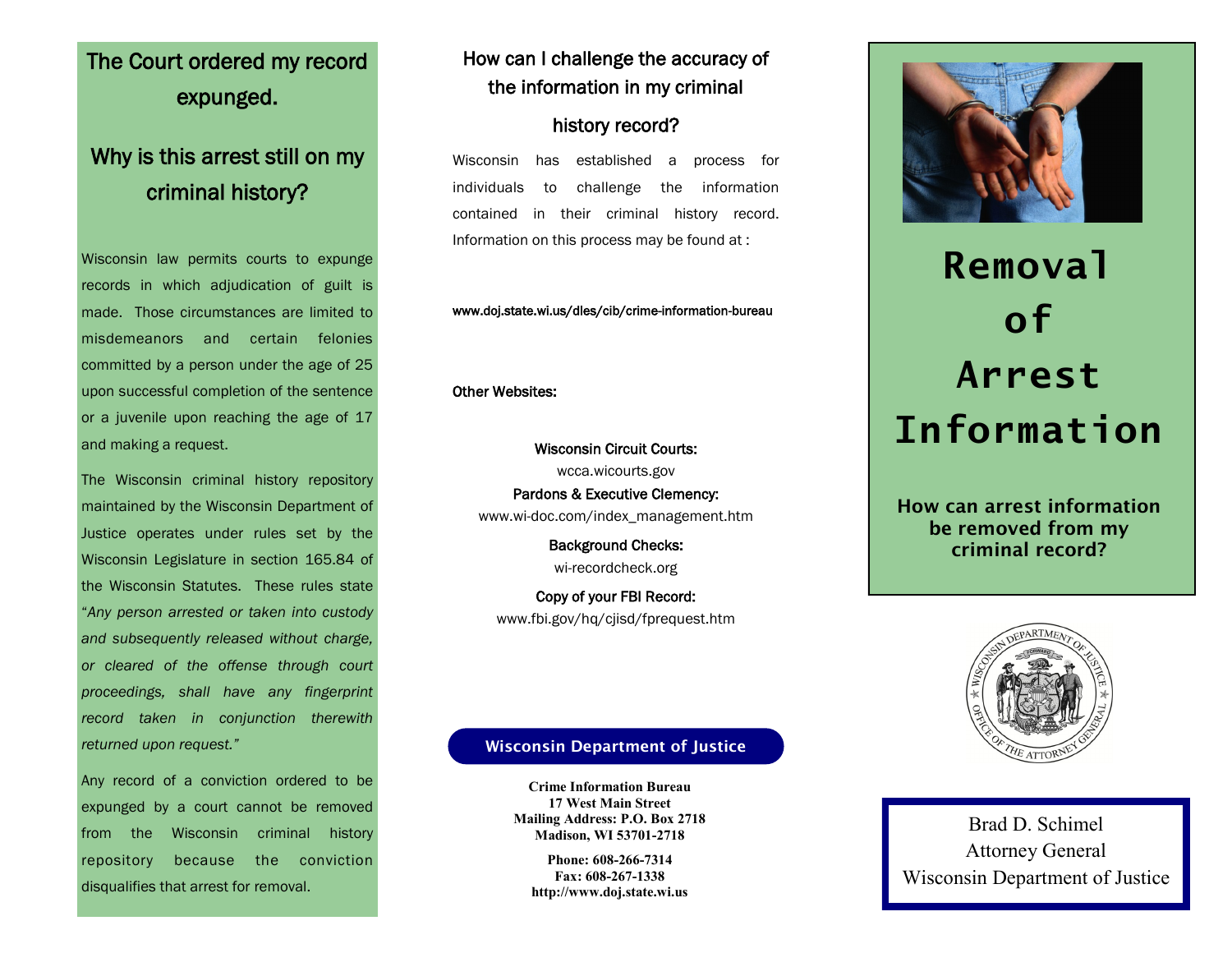## The Court ordered my record expunged.

### Why is this arrest still on my criminal history?

Wisconsin law permits courts to expunge records in which adjudication of guilt is made. Those circumstances are limited to misdemeanors and certain felonies committed by a person under the age of 25 upon successful completion of the sentence or a juvenile upon reaching the age of 17 and making a request.

The Wisconsin criminal history repository maintained by the Wisconsin Department of Justice operates under rules set by the Wisconsin Legislature in section 165.84 of the Wisconsin Statutes. These rules state "*Any person arrested or taken into custody and subsequently released without charge, or cleared of the offense through court proceedings, shall have any fingerprint record taken in conjunction therewith returned upon request."*

Any record of a conviction ordered to be expunged by a court cannot be removed from the Wisconsin criminal history repository because the conviction disqualifies that arrest for removal.

### How can I challenge the accuracy of the information in my criminal

### history record?

Wisconsin has established a process for individuals to challenge the information contained in their criminal history record. Information on this process may be found at :

www.doj.state.wi.us/dles/cib/crime-information-bureau

Other Websites:

Wisconsin Circuit Courts: wcca.wicourts.gov Pardons & Executive Clemency: www.wi-doc.com/index\_management.htm

> Background Checks: wi-recordcheck.org

Copy of your FBI Record: www.fbi.gov/hq/cjisd/fprequest.htm



# **Removal of Arrest Information**

**How can arrest information be removed from my criminal record?**



Brad D. Schimel Attorney General Wisconsin Department of Justice

### **Wisconsin Department of Justice**

**Crime Information Bureau 17 West Main Street Mailing Address: P.O. Box 2718 Madison, WI 53701-2718**

**Phone: 608-266-7314 Fax: 608-267-1338 http://www.doj.state.wi.us**